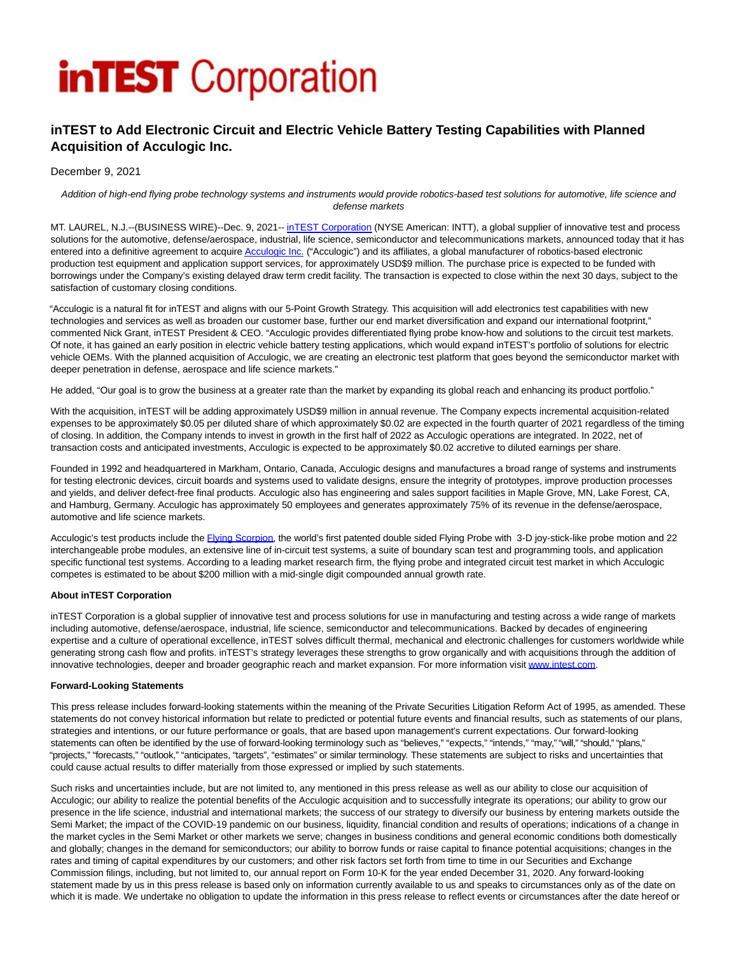# **inTEST** Corporation

# **inTEST to Add Electronic Circuit and Electric Vehicle Battery Testing Capabilities with Planned Acquisition of Acculogic Inc.**

## December 9, 2021

#### Addition of high-end flying probe technology systems and instruments would provide robotics-based test solutions for automotive, life science and defense markets

MT. LAUREL, N.J.--(BUSINESS WIRE)--Dec. 9, 2021-[- inTEST Corporation \(](https://cts.businesswire.com/ct/CT?id=smartlink&url=https%3A%2F%2Fwww.intest.com%2F&esheet=52547724&newsitemid=20211209005999&lan=en-US&anchor=inTEST+Corporation&index=1&md5=a20d64068d2b03975a02adbe5135356b)NYSE American: INTT), a global supplier of innovative test and process solutions for the automotive, defense/aerospace, industrial, life science, semiconductor and telecommunications markets, announced today that it has entered into a definitive agreement to acquir[e Acculogic Inc. \(](https://cts.businesswire.com/ct/CT?id=smartlink&url=https%3A%2F%2Facculogic.com%2F&esheet=52547724&newsitemid=20211209005999&lan=en-US&anchor=Acculogic+Inc.&index=2&md5=dc308e36dc69e9bacf886890f2f16167)"Acculogic") and its affiliates, a global manufacturer of robotics-based electronic production test equipment and application support services, for approximately USD\$9 million. The purchase price is expected to be funded with borrowings under the Company's existing delayed draw term credit facility. The transaction is expected to close within the next 30 days, subject to the satisfaction of customary closing conditions.

"Acculogic is a natural fit for inTEST and aligns with our 5-Point Growth Strategy. This acquisition will add electronics test capabilities with new technologies and services as well as broaden our customer base, further our end market diversification and expand our international footprint," commented Nick Grant, inTEST President & CEO. "Acculogic provides differentiated flying probe know-how and solutions to the circuit test markets. Of note, it has gained an early position in electric vehicle battery testing applications, which would expand inTEST's portfolio of solutions for electric vehicle OEMs. With the planned acquisition of Acculogic, we are creating an electronic test platform that goes beyond the semiconductor market with deeper penetration in defense, aerospace and life science markets."

He added, "Our goal is to grow the business at a greater rate than the market by expanding its global reach and enhancing its product portfolio."

With the acquisition, inTEST will be adding approximately USD\$9 million in annual revenue. The Company expects incremental acquisition-related expenses to be approximately \$0.05 per diluted share of which approximately \$0.02 are expected in the fourth quarter of 2021 regardless of the timing of closing. In addition, the Company intends to invest in growth in the first half of 2022 as Acculogic operations are integrated. In 2022, net of transaction costs and anticipated investments, Acculogic is expected to be approximately \$0.02 accretive to diluted earnings per share.

Founded in 1992 and headquartered in Markham, Ontario, Canada, Acculogic designs and manufactures a broad range of systems and instruments for testing electronic devices, circuit boards and systems used to validate designs, ensure the integrity of prototypes, improve production processes and yields, and deliver defect-free final products. Acculogic also has engineering and sales support facilities in Maple Grove, MN, Lake Forest, CA, and Hamburg, Germany. Acculogic has approximately 50 employees and generates approximately 75% of its revenue in the defense/aerospace, automotive and life science markets.

Acculogic's test products include the Elving Scorpion, the world's first patented double sided Flying Probe with 3-D joy-stick-like probe motion and 22 interchangeable probe modules, an extensive line of in-circuit test systems, a suite of boundary scan test and programming tools, and application specific functional test systems. According to a leading market research firm, the flying probe and integrated circuit test market in which Acculogic competes is estimated to be about \$200 million with a mid-single digit compounded annual growth rate.

### **About inTEST Corporation**

inTEST Corporation is a global supplier of innovative test and process solutions for use in manufacturing and testing across a wide range of markets including automotive, defense/aerospace, industrial, life science, semiconductor and telecommunications. Backed by decades of engineering expertise and a culture of operational excellence, inTEST solves difficult thermal, mechanical and electronic challenges for customers worldwide while generating strong cash flow and profits. inTEST's strategy leverages these strengths to grow organically and with acquisitions through the addition of innovative technologies, deeper and broader geographic reach and market expansion. For more information visit [www.intest.com.](https://cts.businesswire.com/ct/CT?id=smartlink&url=http%3A%2F%2Fwww.intest.com&esheet=52547724&newsitemid=20211209005999&lan=en-US&anchor=www.intest.com&index=4&md5=5959ab09edb57d72e643e52767486bf3)

#### **Forward-Looking Statements**

This press release includes forward-looking statements within the meaning of the Private Securities Litigation Reform Act of 1995, as amended. These statements do not convey historical information but relate to predicted or potential future events and financial results, such as statements of our plans, strategies and intentions, or our future performance or goals, that are based upon management's current expectations. Our forward-looking statements can often be identified by the use of forward-looking terminology such as "believes," "expects," "intends," "may," "will," "should," "plans," "projects," "forecasts," "outlook," "anticipates, "targets", "estimates" or similar terminology. These statements are subject to risks and uncertainties that could cause actual results to differ materially from those expressed or implied by such statements.

Such risks and uncertainties include, but are not limited to, any mentioned in this press release as well as our ability to close our acquisition of Acculogic; our ability to realize the potential benefits of the Acculogic acquisition and to successfully integrate its operations; our ability to grow our presence in the life science, industrial and international markets; the success of our strategy to diversify our business by entering markets outside the Semi Market; the impact of the COVID-19 pandemic on our business, liquidity, financial condition and results of operations; indications of a change in the market cycles in the Semi Market or other markets we serve; changes in business conditions and general economic conditions both domestically and globally; changes in the demand for semiconductors; our ability to borrow funds or raise capital to finance potential acquisitions; changes in the rates and timing of capital expenditures by our customers; and other risk factors set forth from time to time in our Securities and Exchange Commission filings, including, but not limited to, our annual report on Form 10-K for the year ended December 31, 2020. Any forward-looking statement made by us in this press release is based only on information currently available to us and speaks to circumstances only as of the date on which it is made. We undertake no obligation to update the information in this press release to reflect events or circumstances after the date hereof or